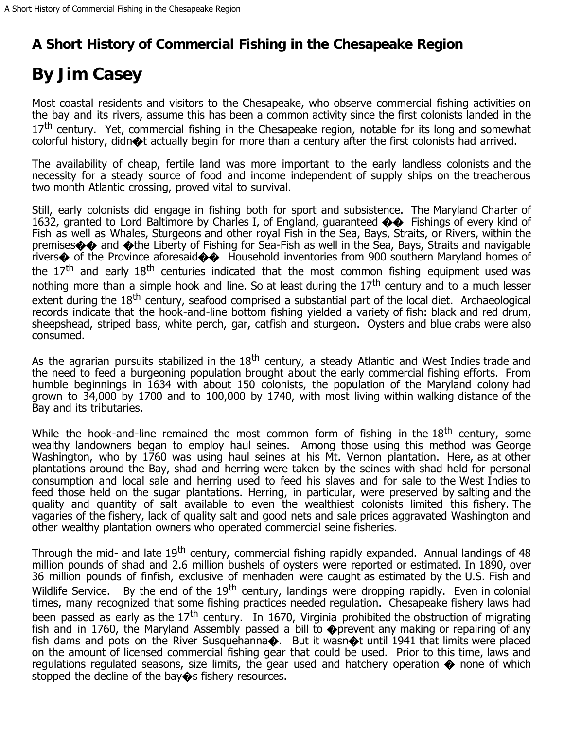## **A Short History of Commercial Fishing in the Chesapeake Region**

## **By Jim Casey**

Most coastal residents and visitors to the Chesapeake, who observe commercial fishing activities on the bay and its rivers, assume this has been a common activity since the first colonists landed in the 17<sup>th</sup> century. Yet, commercial fishing in the Chesapeake region, notable for its long and somewhat colorful history, didn $\otimes$ t actually begin for more than a century after the first colonists had arrived.

The availability of cheap, fertile land was more important to the early landless colonists and the necessity for a steady source of food and income independent of supply ships on the treacherous two month Atlantic crossing, proved vital to survival.

Still, early colonists did engage in fishing both for sport and subsistence. The Maryland Charter of 1632, granted to Lord Baltimore by Charles I, of England, guaranteed  $\clubsuit \clubsuit$  Fishings of every kind of Fish as well as Whales, Sturgeons and other royal Fish in the Sea, Bays, Straits, or Rivers, within the premises�� and �the Liberty of Fishing for Sea-Fish as well in the Sea, Bays, Straits and navigable rivers $\bullet$  of the Province aforesaid $\bullet\bullet$  Household inventories from 900 southern Maryland homes of the  $17<sup>th</sup>$  and early  $18<sup>th</sup>$  centuries indicated that the most common fishing equipment used was nothing more than a simple hook and line. So at least during the  $17<sup>th</sup>$  century and to a much lesser extent during the 18<sup>th</sup> century, seafood comprised a substantial part of the local diet. Archaeological records indicate that the hook-and-line bottom fishing yielded a variety of fish: black and red drum, sheepshead, striped bass, white perch, gar, catfish and sturgeon. Oysters and blue crabs were also consumed.

As the agrarian pursuits stabilized in the  $18<sup>th</sup>$  century, a steady Atlantic and West Indies trade and the need to feed a burgeoning population brought about the early commercial fishing efforts. From humble beginnings in 1634 with about 150 colonists, the population of the Maryland colony had grown to 34,000 by 1700 and to 100,000 by 1740, with most living within walking distance of the Bay and its tributaries.

While the hook-and-line remained the most common form of fishing in the  $18<sup>th</sup>$  century, some wealthy landowners began to employ haul seines. Among those using this method was George Washington, who by 1760 was using haul seines at his Mt. Vernon plantation. Here, as at other plantations around the Bay, shad and herring were taken by the seines with shad held for personal consumption and local sale and herring used to feed his slaves and for sale to the West Indies to feed those held on the sugar plantations. Herring, in particular, were preserved by salting and the quality and quantity of salt available to even the wealthiest colonists limited this fishery. The vagaries of the fishery, lack of quality salt and good nets and sale prices aggravated Washington and other wealthy plantation owners who operated commercial seine fisheries.

Through the mid- and late 19<sup>th</sup> century, commercial fishing rapidly expanded. Annual landings of 48 million pounds of shad and 2.6 million bushels of oysters were reported or estimated. In 1890, over 36 million pounds of finfish, exclusive of menhaden were caught as estimated by the U.S. Fish and Wildlife Service. By the end of the 19<sup>th</sup> century, landings were dropping rapidly. Even in colonial times, many recognized that some fishing practices needed regulation. Chesapeake fishery laws had been passed as early as the  $17<sup>th</sup>$  century. In 1670, Virginia prohibited the obstruction of migrating fish and in 1760, the Maryland Assembly passed a bill to  $\bullet$  prevent any making or repairing of any fish dams and pots on the River Susquehanna $\bullet$ . But it wasn $\bullet$ t until 1941 that limits were placed on the amount of licensed commercial fishing gear that could be used. Prior to this time, laws and regulations regulated seasons, size limits, the gear used and hatchery operation  $\spadesuit$  none of which stopped the decline of the bay  $\diamond$ s fishery resources.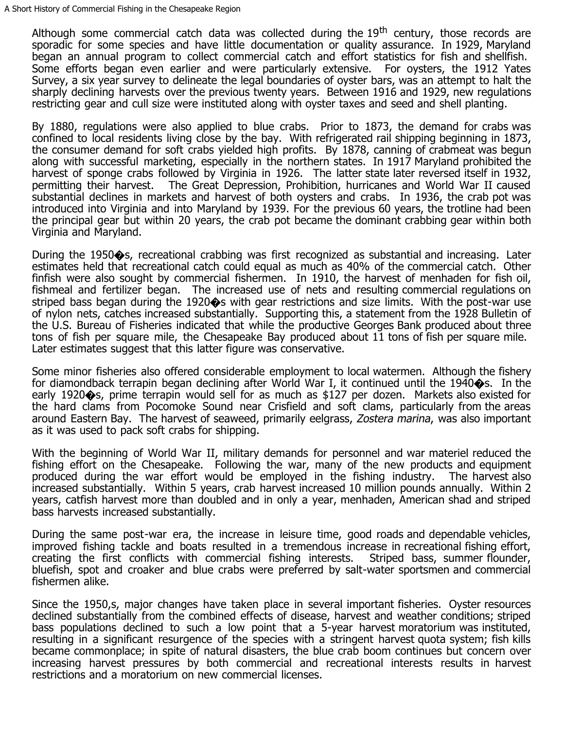Although some commercial catch data was collected during the  $19<sup>th</sup>$  century, those records are sporadic for some species and have little documentation or quality assurance. In 1929, Maryland began an annual program to collect commercial catch and effort statistics for fish and shellfish. Some efforts began even earlier and were particularly extensive. For oysters, the 1912 Yates Survey, a six year survey to delineate the legal boundaries of oyster bars, was an attempt to halt the sharply declining harvests over the previous twenty years. Between 1916 and 1929, new regulations restricting gear and cull size were instituted along with oyster taxes and seed and shell planting.

By 1880, regulations were also applied to blue crabs. Prior to 1873, the demand for crabs was confined to local residents living close by the bay. With refrigerated rail shipping beginning in 1873, the consumer demand for soft crabs yielded high profits. By 1878, canning of crabmeat was begun along with successful marketing, especially in the northern states. In 1917 Maryland prohibited the harvest of sponge crabs followed by Virginia in 1926. The latter state later reversed itself in 1932, permitting their harvest. The Great Depression, Prohibition, hurricanes and World War II caused substantial declines in markets and harvest of both oysters and crabs. In 1936, the crab pot was introduced into Virginia and into Maryland by 1939. For the previous 60 years, the trotline had been the principal gear but within 20 years, the crab pot became the dominant crabbing gear within both Virginia and Maryland.

During the 1950�s, recreational crabbing was first recognized as substantial and increasing. Later estimates held that recreational catch could equal as much as 40% of the commercial catch. Other finfish were also sought by commercial fishermen. In 1910, the harvest of menhaden for fish oil, fishmeal and fertilizer began. The increased use of nets and resulting commercial regulations on striped bass began during the 1920 $\diamondsuit$ s with gear restrictions and size limits. With the post-war use of nylon nets, catches increased substantially. Supporting this, a statement from the 1928 Bulletin of the U.S. Bureau of Fisheries indicated that while the productive Georges Bank produced about three tons of fish per square mile, the Chesapeake Bay produced about 11 tons of fish per square mile. Later estimates suggest that this latter figure was conservative.

Some minor fisheries also offered considerable employment to local watermen. Although the fishery for diamondback terrapin began declining after World War I, it continued until the 1940 $\diamond$ s. In the early 1920�s, prime terrapin would sell for as much as \$127 per dozen. Markets also existed for the hard clams from Pocomoke Sound near Crisfield and soft clams, particularly from the areas around Eastern Bay. The harvest of seaweed, primarily eelgrass, Zostera marina, was also important as it was used to pack soft crabs for shipping.

With the beginning of World War II, military demands for personnel and war materiel reduced the fishing effort on the Chesapeake. Following the war, many of the new products and equipment produced during the war effort would be employed in the fishing industry. The harvest also increased substantially. Within 5 years, crab harvest increased 10 million pounds annually. Within 2 years, catfish harvest more than doubled and in only a year, menhaden, American shad and striped bass harvests increased substantially.

During the same post-war era, the increase in leisure time, good roads and dependable vehicles, improved fishing tackle and boats resulted in a tremendous increase in recreational fishing effort, creating the first conflicts with commercial fishing interests. Striped bass, summer flounder, bluefish, spot and croaker and blue crabs were preferred by salt-water sportsmen and commercial fishermen alike.

Since the 1950,s, major changes have taken place in several important fisheries. Oyster resources declined substantially from the combined effects of disease, harvest and weather conditions; striped bass populations declined to such a low point that a 5-year harvest moratorium was instituted, resulting in a significant resurgence of the species with a stringent harvest quota system; fish kills became commonplace; in spite of natural disasters, the blue crab boom continues but concern over increasing harvest pressures by both commercial and recreational interests results in harvest restrictions and a moratorium on new commercial licenses.